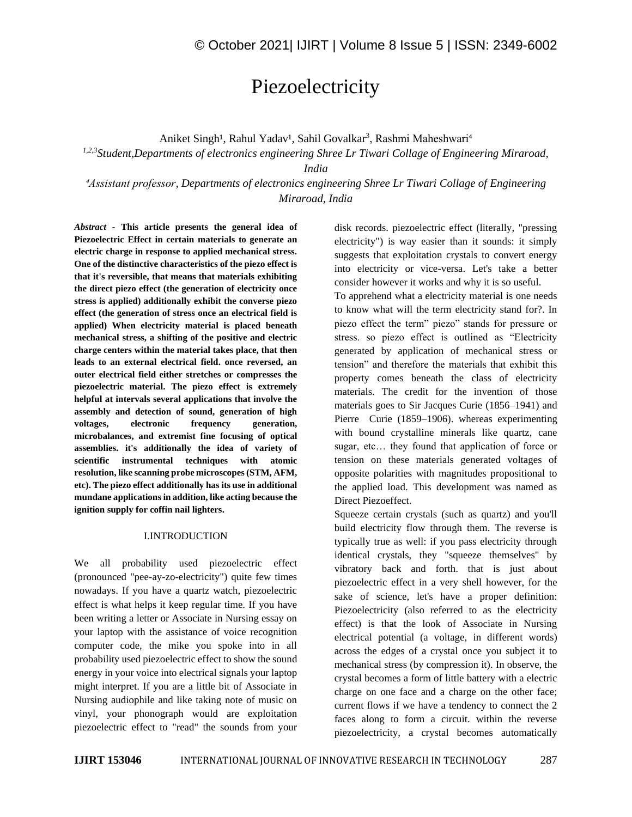# Piezoelectricity

Aniket Singh<sup>1</sup>, Rahul Yadav<sup>1</sup>, Sahil Govalkar<sup>3</sup>, Rashmi Maheshwari<sup>4</sup>

*1,2,3Student,Departments of electronics engineering Shree Lr Tiwari Collage of Engineering Miraroad,*

*India*

*⁴Assistant professor, Departments of electronics engineering Shree Lr Tiwari Collage of Engineering Miraroad, India* 

*Abstract -* **This article presents the general idea of Piezoelectric Effect in certain materials to generate an electric charge in response to applied mechanical stress. One of the distinctive characteristics of the piezo effect is that it's reversible, that means that materials exhibiting the direct piezo effect (the generation of electricity once stress is applied) additionally exhibit the converse piezo effect (the generation of stress once an electrical field is applied) When electricity material is placed beneath mechanical stress, a shifting of the positive and electric charge centers within the material takes place, that then leads to an external electrical field. once reversed, an outer electrical field either stretches or compresses the piezoelectric material. The piezo effect is extremely helpful at intervals several applications that involve the assembly and detection of sound, generation of high voltages, electronic frequency generation, microbalances, and extremist fine focusing of optical assemblies. it's additionally the idea of variety of scientific instrumental techniques with atomic resolution, like scanning probe microscopes (STM, AFM, etc). The piezo effect additionally has its use in additional mundane applications in addition, like acting because the ignition supply for coffin nail lighters.**

## I.INTRODUCTION

We all probability used piezoelectric effect (pronounced "pee-ay-zo-electricity") quite few times nowadays. If you have a quartz watch, piezoelectric effect is what helps it keep regular time. If you have been writing a letter or Associate in Nursing essay on your laptop with the assistance of voice recognition computer code, the mike you spoke into in all probability used piezoelectric effect to show the sound energy in your voice into electrical signals your laptop might interpret. If you are a little bit of Associate in Nursing audiophile and like taking note of music on vinyl, your phonograph would are exploitation piezoelectric effect to "read" the sounds from your

disk records. piezoelectric effect (literally, "pressing electricity") is way easier than it sounds: it simply suggests that exploitation crystals to convert energy into electricity or vice-versa. Let's take a better consider however it works and why it is so useful.

To apprehend what a electricity material is one needs to know what will the term electricity stand for?. In piezo effect the term" piezo" stands for pressure or stress. so piezo effect is outlined as "Electricity generated by application of mechanical stress or tension" and therefore the materials that exhibit this property comes beneath the class of electricity materials. The credit for the invention of those materials goes to Sir Jacques Curie (1856–1941) and Pierre Curie (1859–1906). whereas experimenting with bound crystalline minerals like quartz, cane sugar, etc… they found that application of force or tension on these materials generated voltages of opposite polarities with magnitudes propositional to the applied load. This development was named as Direct Piezoeffect.

Squeeze certain crystals (such as quartz) and you'll build electricity flow through them. The reverse is typically true as well: if you pass electricity through identical crystals, they "squeeze themselves" by vibratory back and forth. that is just about piezoelectric effect in a very shell however, for the sake of science, let's have a proper definition: Piezoelectricity (also referred to as the electricity effect) is that the look of Associate in Nursing electrical potential (a voltage, in different words) across the edges of a crystal once you subject it to mechanical stress (by compression it). In observe, the crystal becomes a form of little battery with a electric charge on one face and a charge on the other face; current flows if we have a tendency to connect the 2 faces along to form a circuit. within the reverse piezoelectricity, a crystal becomes automatically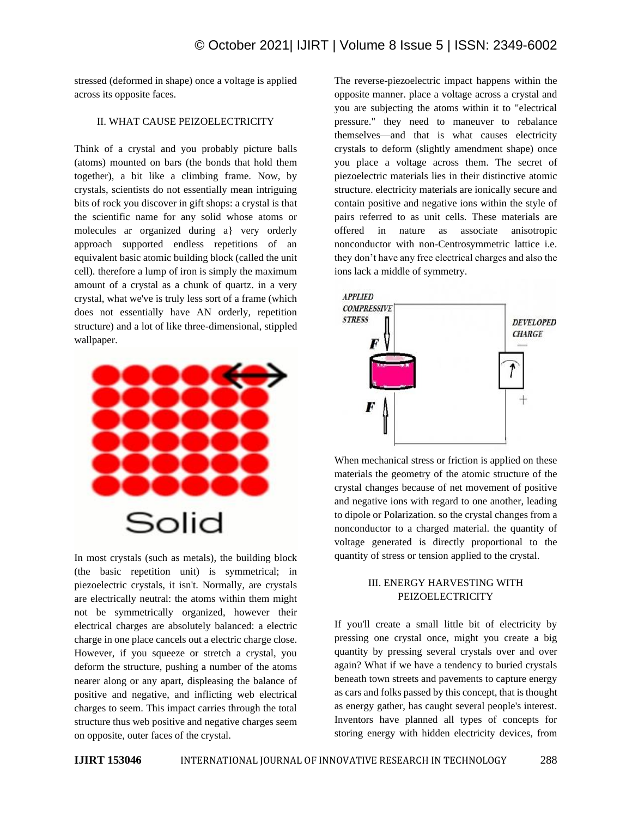stressed (deformed in shape) once a voltage is applied across its opposite faces.

## II. WHAT CAUSE PEIZOELECTRICITY

Think of a crystal and you probably picture balls (atoms) mounted on bars (the bonds that hold them together), a bit like a climbing frame. Now, by crystals, scientists do not essentially mean intriguing bits of rock you discover in gift shops: a crystal is that the scientific name for any solid whose atoms or molecules ar organized during a} very orderly approach supported endless repetitions of an equivalent basic atomic building block (called the unit cell). therefore a lump of iron is simply the maximum amount of a crystal as a chunk of quartz. in a very crystal, what we've is truly less sort of a frame (which does not essentially have AN orderly, repetition structure) and a lot of like three-dimensional, stippled wallpaper.



In most crystals (such as metals), the building block (the basic repetition unit) is symmetrical; in piezoelectric crystals, it isn't. Normally, are crystals are electrically neutral: the atoms within them might not be symmetrically organized, however their electrical charges are absolutely balanced: a electric charge in one place cancels out a electric charge close. However, if you squeeze or stretch a crystal, you deform the structure, pushing a number of the atoms nearer along or any apart, displeasing the balance of positive and negative, and inflicting web electrical charges to seem. This impact carries through the total structure thus web positive and negative charges seem on opposite, outer faces of the crystal.

The reverse-piezoelectric impact happens within the opposite manner. place a voltage across a crystal and you are subjecting the atoms within it to "electrical pressure." they need to maneuver to rebalance themselves—and that is what causes electricity crystals to deform (slightly amendment shape) once you place a voltage across them. The secret of piezoelectric materials lies in their distinctive atomic structure. electricity materials are ionically secure and contain positive and negative ions within the style of pairs referred to as unit cells. These materials are offered in nature as associate anisotropic nonconductor with non-Centrosymmetric lattice i.e. they don't have any free electrical charges and also the ions lack a middle of symmetry.



When mechanical stress or friction is applied on these materials the geometry of the atomic structure of the crystal changes because of net movement of positive and negative ions with regard to one another, leading to dipole or Polarization. so the crystal changes from a nonconductor to a charged material. the quantity of voltage generated is directly proportional to the quantity of stress or tension applied to the crystal.

## III. ENERGY HARVESTING WITH PEIZOELECTRICITY

If you'll create a small little bit of electricity by pressing one crystal once, might you create a big quantity by pressing several crystals over and over again? What if we have a tendency to buried crystals beneath town streets and pavements to capture energy as cars and folks passed by this concept, that is thought as energy gather, has caught several people's interest. Inventors have planned all types of concepts for storing energy with hidden electricity devices, from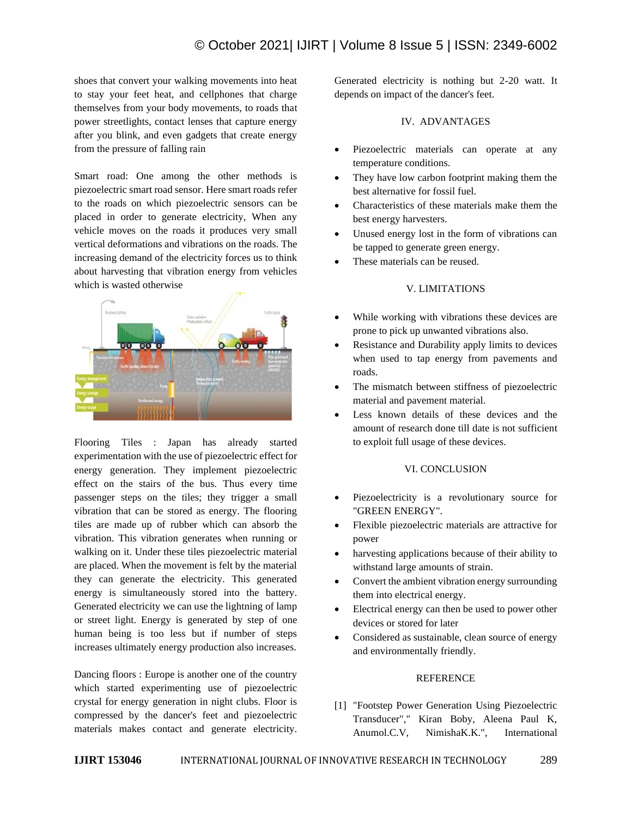shoes that convert your walking movements into heat to stay your feet heat, and cellphones that charge themselves from your body movements, to roads that power streetlights, contact lenses that capture energy after you blink, and even gadgets that create energy from the pressure of falling rain

Smart road: One among the other methods is piezoelectric smart road sensor. Here smart roads refer to the roads on which piezoelectric sensors can be placed in order to generate electricity, When any vehicle moves on the roads it produces very small vertical deformations and vibrations on the roads. The increasing demand of the electricity forces us to think about harvesting that vibration energy from vehicles which is wasted otherwise



Flooring Tiles : Japan has already started experimentation with the use of piezoelectric effect for energy generation. They implement piezoelectric effect on the stairs of the bus. Thus every time passenger steps on the tiles; they trigger a small vibration that can be stored as energy. The flooring tiles are made up of rubber which can absorb the vibration. This vibration generates when running or walking on it. Under these tiles piezoelectric material are placed. When the movement is felt by the material they can generate the electricity. This generated energy is simultaneously stored into the battery. Generated electricity we can use the lightning of lamp or street light. Energy is generated by step of one human being is too less but if number of steps increases ultimately energy production also increases.

Dancing floors : Europe is another one of the country which started experimenting use of piezoelectric crystal for energy generation in night clubs. Floor is compressed by the dancer's feet and piezoelectric materials makes contact and generate electricity. Generated electricity is nothing but 2-20 watt. It depends on impact of the dancer's feet.

## IV. ADVANTAGES

- Piezoelectric materials can operate at any temperature conditions.
- They have low carbon footprint making them the best alternative for fossil fuel.
- Characteristics of these materials make them the best energy harvesters.
- Unused energy lost in the form of vibrations can be tapped to generate green energy.
- These materials can be reused.

## V. LIMITATIONS

- While working with vibrations these devices are prone to pick up unwanted vibrations also.
- Resistance and Durability apply limits to devices when used to tap energy from pavements and roads.
- The mismatch between stiffness of piezoelectric material and pavement material.
- Less known details of these devices and the amount of research done till date is not sufficient to exploit full usage of these devices.

## VI. CONCLUSION

- Piezoelectricity is a revolutionary source for "GREEN ENERGY".
- Flexible piezoelectric materials are attractive for power
- harvesting applications because of their ability to withstand large amounts of strain.
- Convert the ambient vibration energy surrounding them into electrical energy.
- Electrical energy can then be used to power other devices or stored for later
- Considered as sustainable, clean source of energy and environmentally friendly.

## REFERENCE

[1] "Footstep Power Generation Using Piezoelectric Transducer"," Kiran Boby, Aleena Paul K, Anumol.C.V, NimishaK.K.", International